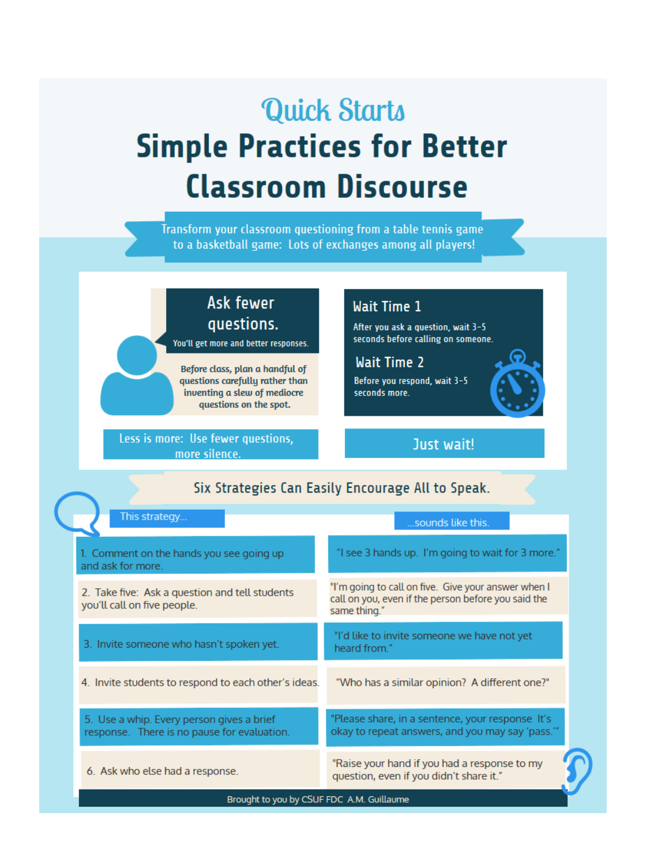# **Quick Starts Simple Practices for Better Classroom Discourse**

Transform your classroom questioning from a table tennis game to a basketball game: Lots of exchanges among all players!

### Ask fewer questions.

You'll get more and better responses.

Before class, plan a handful of questions carefully rather than inventing a slew of mediocre questions on the spot.

Less is more: Use fewer questions, more silence.

#### **Wait Time 1**

After you ask a question, wait 3-5 seconds before calling on someone.

**Wait Time 2** Before you respond, wait 3-5 seconds more.



Just wait!

|  | Six Strategies Can Easily Encourage All to Speak.                                        |                                                                                                                            |
|--|------------------------------------------------------------------------------------------|----------------------------------------------------------------------------------------------------------------------------|
|  | This strategy                                                                            | sounds like this.                                                                                                          |
|  | 1. Comment on the hands you see going up<br>and ask for more.                            | "I see 3 hands up. I'm going to wait for 3 more."                                                                          |
|  | 2. Take five: Ask a question and tell students<br>you'll call on five people.            | "I'm going to call on five. Give your answer when I<br>call on you, even if the person before you said the<br>same thing." |
|  | 3. Invite someone who hasn't spoken yet.                                                 | "I'd like to invite someone we have not yet<br>heard from."                                                                |
|  | 4. Invite students to respond to each other's ideas.                                     | "Who has a similar opinion? A different one?"                                                                              |
|  | 5. Use a whip. Every person gives a brief<br>response. There is no pause for evaluation. | "Please share, in a sentence, your response It's<br>okay to repeat answers, and you may say 'pass."                        |
|  | 6. Ask who else had a response.                                                          | "Raise your hand if you had a response to my<br>question, even if you didn't share it."                                    |
|  | Brought to you by CSUF FDC A.M. Guillaume                                                |                                                                                                                            |